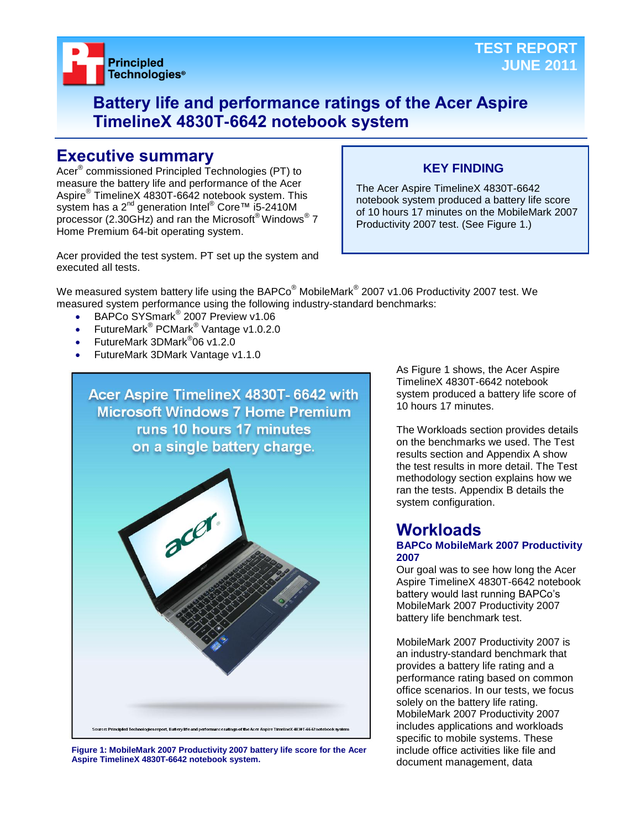

## **Battery life and performance ratings of the Acer Aspire TimelineX 4830T-6642 notebook system**

### **Executive summary**

Acer® commissioned Principled Technologies (PT) to measure the battery life and performance of the Acer Aspire® TimelineX 4830T-6642 notebook system. This system has a 2<sup>nd</sup> generation Intel<sup>®</sup> Core™ i5-2410M processor (2.30GHz) and ran the Microsoft® Windows® 7 Home Premium 64-bit operating system.

### **KEY FINDING**

The Acer Aspire TimelineX 4830T-6642 notebook system produced a battery life score of 10 hours 17 minutes on the MobileMark 2007 Productivity 2007 test. (See Figure 1.)

Acer provided the test system. PT set up the system and executed all tests.

We measured system battery life using the BAPCo $^\circ$  MobileMark $^\circ$  2007 v1.06 Productivity 2007 test. We measured system performance using the following industry-standard benchmarks:

- BAPCo SYSmark<sup>®</sup> 2007 Preview v1.06
- FutureMark<sup>®</sup> PCMark<sup>®</sup> Vantage v1.0.2.0
- FutureMark 3DMark<sup>®</sup>06 v1.2.0
- FutureMark 3DMark Vantage v1.1.0



**Figure 1: MobileMark 2007 Productivity 2007 battery life score for the Acer Aspire TimelineX 4830T-6642 notebook system.**

As Figure 1 shows, the Acer Aspire TimelineX 4830T-6642 notebook system produced a battery life score of 10 hours 17 minutes.

The Workloads section provides details on the benchmarks we used. The Test results section and Appendix A show the test results in more detail. The Test methodology section explains how we ran the tests. Appendix B details the system configuration.

### **Workloads**

#### **BAPCo MobileMark 2007 Productivity 2007**

Our goal was to see how long the Acer Aspire TimelineX 4830T-6642 notebook battery would last running BAPCo's MobileMark 2007 Productivity 2007 battery life benchmark test.

MobileMark 2007 Productivity 2007 is an industry-standard benchmark that provides a battery life rating and a performance rating based on common office scenarios. In our tests, we focus solely on the battery life rating. MobileMark 2007 Productivity 2007 includes applications and workloads specific to mobile systems. These include office activities like file and document management, data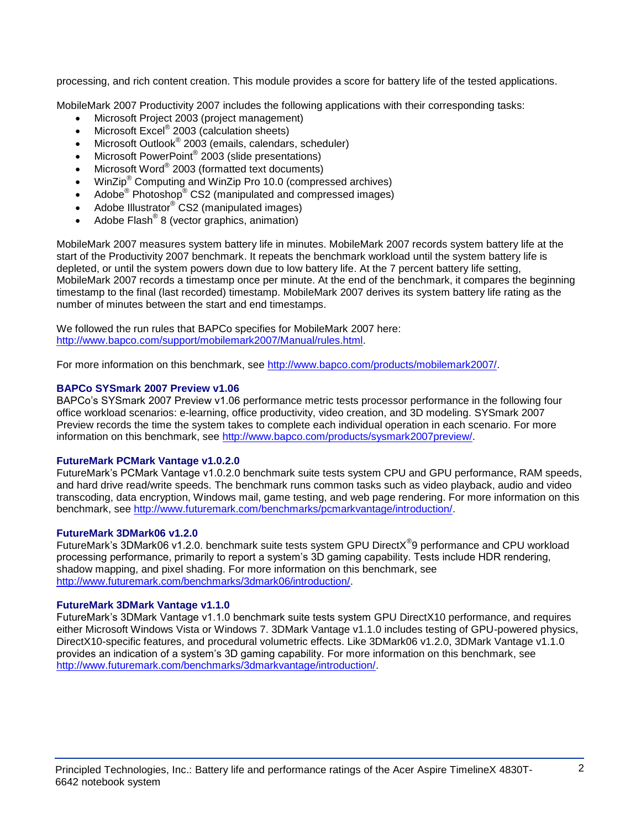processing, and rich content creation. This module provides a score for battery life of the tested applications.

MobileMark 2007 Productivity 2007 includes the following applications with their corresponding tasks:

- Microsoft Project 2003 (project management)
- $\bullet$  Microsoft Excel® 2003 (calculation sheets)
- Microsoft Outlook<sup>®</sup> 2003 (emails, calendars, scheduler)
- Microsoft PowerPoint® 2003 (slide presentations)
- Microsoft Word® 2003 (formatted text documents)
- WinZip® Computing and WinZip Pro 10.0 (compressed archives)
- Adobe® Photoshop<sup>®</sup> CS2 (manipulated and compressed images)
- Adobe Illustrator® CS2 (manipulated images)
- $\bullet$  Adobe Flash<sup>®</sup> 8 (vector graphics, animation)

MobileMark 2007 measures system battery life in minutes. MobileMark 2007 records system battery life at the start of the Productivity 2007 benchmark. It repeats the benchmark workload until the system battery life is depleted, or until the system powers down due to low battery life. At the 7 percent battery life setting, MobileMark 2007 records a timestamp once per minute. At the end of the benchmark, it compares the beginning timestamp to the final (last recorded) timestamp. MobileMark 2007 derives its system battery life rating as the number of minutes between the start and end timestamps.

We followed the run rules that BAPCo specifies for MobileMark 2007 here: [http://www.bapco.com/support/mobilemark2007/Manual/rules.html.](http://www.bapco.com/support/mobilemark2007/Manual/rules.html)

For more information on this benchmark, see [http://www.bapco.com/products/mobilemark2007/.](http://www.bapco.com/products/mobilemark2007/)

#### **BAPCo SYSmark 2007 Preview v1.06**

BAPCo's SYSmark 2007 Preview v1.06 performance metric tests processor performance in the following four office workload scenarios: e-learning, office productivity, video creation, and 3D modeling. SYSmark 2007 Preview records the time the system takes to complete each individual operation in each scenario. For more information on this benchmark, see [http://www.bapco.com/products/sysmark2007preview/.](http://www.bapco.com/products/sysmark2007preview/)

#### **FutureMark PCMark Vantage v1.0.2.0**

FutureMark's PCMark Vantage v1.0.2.0 benchmark suite tests system CPU and GPU performance, RAM speeds, and hard drive read/write speeds. The benchmark runs common tasks such as video playback, audio and video transcoding, data encryption, Windows mail, game testing, and web page rendering. For more information on this benchmark, see [http://www.futuremark.com/benchmarks/pcmarkvantage/introduction/.](http://www.futuremark.com/benchmarks/pcmarkvantage/introduction/)

#### **FutureMark 3DMark06 v1.2.0**

FutureMark's 3DMark06 v1.2.0. benchmark suite tests system GPU DirectX<sup>®</sup>9 performance and CPU workload processing performance, primarily to report a system's 3D gaming capability. Tests include HDR rendering, shadow mapping, and pixel shading. For more information on this benchmark, see [http://www.futuremark.com/benchmarks/3dmark06/introduction/.](http://www.futuremark.com/benchmarks/3dmark06/introduction/)

#### **FutureMark 3DMark Vantage v1.1.0**

FutureMark's 3DMark Vantage v1.1.0 benchmark suite tests system GPU DirectX10 performance, and requires either Microsoft Windows Vista or Windows 7. 3DMark Vantage v1.1.0 includes testing of GPU-powered physics, DirectX10-specific features, and procedural volumetric effects. Like 3DMark06 v1.2.0, 3DMark Vantage v1.1.0 provides an indication of a system's 3D gaming capability. For more information on this benchmark, see [http://www.futuremark.com/benchmarks/3dmarkvantage/introduction/.](http://www.futuremark.com/benchmarks/3dmarkvantage/introduction/)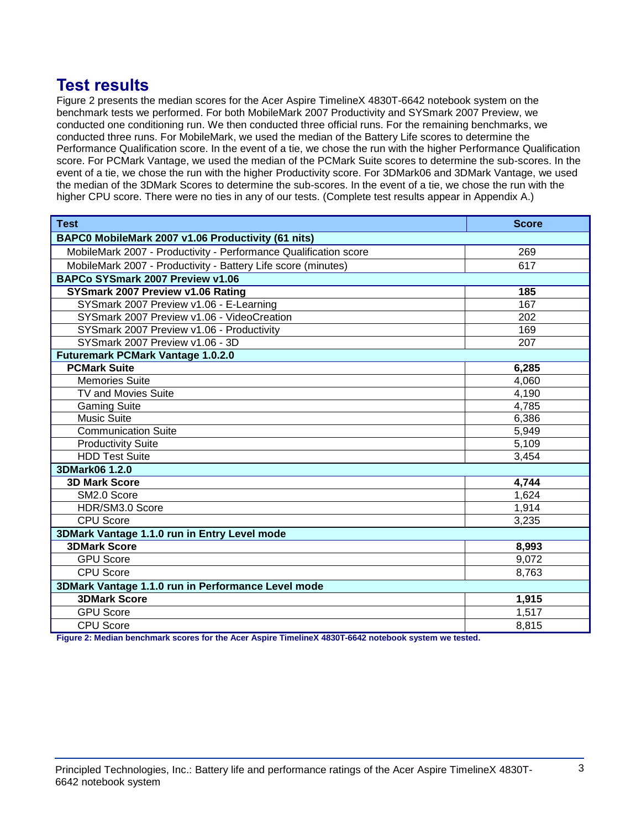## **Test results**

Figure 2 presents the median scores for the Acer Aspire TimelineX 4830T-6642 notebook system on the benchmark tests we performed. For both MobileMark 2007 Productivity and SYSmark 2007 Preview, we conducted one conditioning run. We then conducted three official runs. For the remaining benchmarks, we conducted three runs. For MobileMark, we used the median of the Battery Life scores to determine the Performance Qualification score. In the event of a tie, we chose the run with the higher Performance Qualification score. For PCMark Vantage, we used the median of the PCMark Suite scores to determine the sub-scores. In the event of a tie, we chose the run with the higher Productivity score. For 3DMark06 and 3DMark Vantage, we used the median of the 3DMark Scores to determine the sub-scores. In the event of a tie, we chose the run with the higher CPU score. There were no ties in any of our tests. (Complete test results appear in Appendix A.)

| <b>Test</b>                                                      | <b>Score</b> |  |
|------------------------------------------------------------------|--------------|--|
| BAPC0 MobileMark 2007 v1.06 Productivity (61 nits)               |              |  |
| MobileMark 2007 - Productivity - Performance Qualification score | 269          |  |
| MobileMark 2007 - Productivity - Battery Life score (minutes)    | 617          |  |
| BAPCo SYSmark 2007 Preview v1.06                                 |              |  |
| SYSmark 2007 Preview v1.06 Rating                                | 185          |  |
| SYSmark 2007 Preview v1.06 - E-Learning                          | 167          |  |
| SYSmark 2007 Preview v1.06 - VideoCreation                       | 202          |  |
| SYSmark 2007 Preview v1.06 - Productivity                        | 169          |  |
| SYSmark 2007 Preview v1.06 - 3D                                  | 207          |  |
| <b>Futuremark PCMark Vantage 1.0.2.0</b>                         |              |  |
| <b>PCMark Suite</b>                                              | 6,285        |  |
| <b>Memories Suite</b>                                            | 4,060        |  |
| <b>TV and Movies Suite</b>                                       | 4,190        |  |
| <b>Gaming Suite</b>                                              | 4,785        |  |
| <b>Music Suite</b>                                               | 6,386        |  |
| <b>Communication Suite</b>                                       | 5,949        |  |
| <b>Productivity Suite</b>                                        | 5,109        |  |
| <b>HDD Test Suite</b>                                            | 3,454        |  |
| 3DMark06 1.2.0                                                   |              |  |
| <b>3D Mark Score</b>                                             | 4,744        |  |
| SM2.0 Score                                                      | 1,624        |  |
| HDR/SM3.0 Score                                                  | 1,914        |  |
| <b>CPU Score</b>                                                 | 3,235        |  |
| 3DMark Vantage 1.1.0 run in Entry Level mode                     |              |  |
| <b>3DMark Score</b>                                              | 8,993        |  |
| <b>GPU Score</b>                                                 | 9,072        |  |
| <b>CPU Score</b>                                                 | 8,763        |  |
| 3DMark Vantage 1.1.0 run in Performance Level mode               |              |  |
| <b>3DMark Score</b>                                              | 1,915        |  |
| <b>GPU Score</b>                                                 | 1,517        |  |
| <b>CPU Score</b>                                                 | 8,815        |  |

**Figure 2: Median benchmark scores for the Acer Aspire TimelineX 4830T-6642 notebook system we tested.**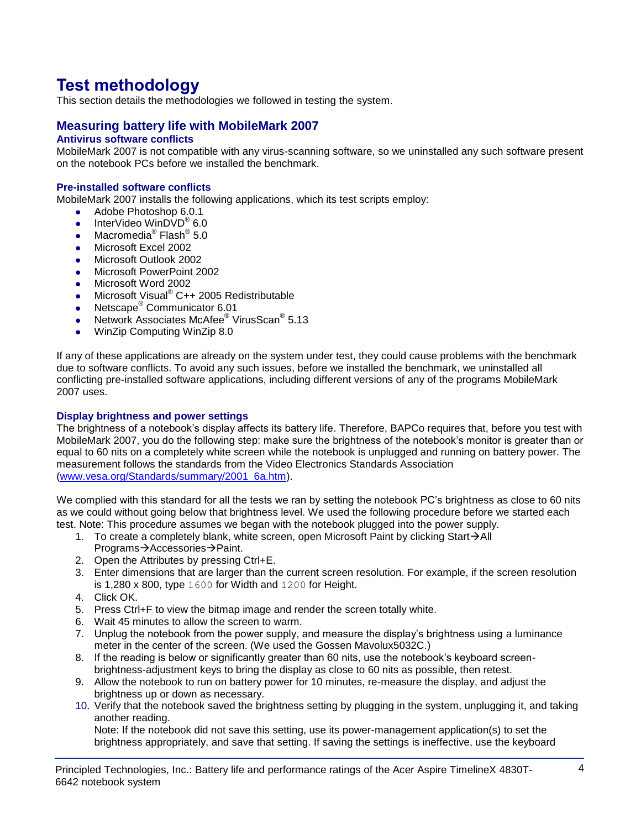# **Test methodology**

This section details the methodologies we followed in testing the system.

#### **Measuring battery life with MobileMark 2007**

#### **Antivirus software conflicts**

MobileMark 2007 is not compatible with any virus-scanning software, so we uninstalled any such software present on the notebook PCs before we installed the benchmark.

#### **Pre-installed software conflicts**

MobileMark 2007 installs the following applications, which its test scripts employ:

- Adobe Photoshop 6.0.1
- InterVideo WinDVD<sup>®</sup> 6.0
- Macromedia® Flash® 5.0
- Microsoft Excel 2002
- Microsoft Outlook 2002
- **Microsoft PowerPoint 2002**
- Microsoft Word 2002
- Microsoft Visual<sup>®</sup> C++ 2005 Redistributable
- Netscape<sup>®</sup> Communicator 6.01
- Network Associates McAfee<sup>®</sup> VirusScan<sup>®</sup> 5.13
- WinZip Computing WinZip 8.0

If any of these applications are already on the system under test, they could cause problems with the benchmark due to software conflicts. To avoid any such issues, before we installed the benchmark, we uninstalled all conflicting pre-installed software applications, including different versions of any of the programs MobileMark 2007 uses.

#### **Display brightness and power settings**

The brightness of a notebook's display affects its battery life. Therefore, BAPCo requires that, before you test with MobileMark 2007, you do the following step: make sure the brightness of the notebook's monitor is greater than or equal to 60 nits on a completely white screen while the notebook is unplugged and running on battery power. The measurement follows the standards from the Video Electronics Standards Association [\(www.vesa.org/Standards/summary/2001\\_6a.htm\)](http://www.vesa.org/Standards/summary/2001_6a.htm).

We complied with this standard for all the tests we ran by setting the notebook PC's brightness as close to 60 nits as we could without going below that brightness level. We used the following procedure before we started each test. Note: This procedure assumes we began with the notebook plugged into the power supply.

- 1. To create a completely blank, white screen, open Microsoft Paint by clicking Start $\rightarrow$ All Programs→Accessories→Paint.
- 2. Open the Attributes by pressing Ctrl+E.
- 3. Enter dimensions that are larger than the current screen resolution. For example, if the screen resolution is 1,280 x 800, type 1600 for Width and 1200 for Height.
- 4. Click OK.
- 5. Press Ctrl+F to view the bitmap image and render the screen totally white.
- 6. Wait 45 minutes to allow the screen to warm.
- 7. Unplug the notebook from the power supply, and measure the display's brightness using a luminance meter in the center of the screen. (We used the Gossen Mavolux5032C.)
- 8. If the reading is below or significantly greater than 60 nits, use the notebook's keyboard screenbrightness-adjustment keys to bring the display as close to 60 nits as possible, then retest.
- 9. Allow the notebook to run on battery power for 10 minutes, re-measure the display, and adjust the brightness up or down as necessary.
- 10. Verify that the notebook saved the brightness setting by plugging in the system, unplugging it, and taking another reading.

Note: If the notebook did not save this setting, use its power-management application(s) to set the brightness appropriately, and save that setting. If saving the settings is ineffective, use the keyboard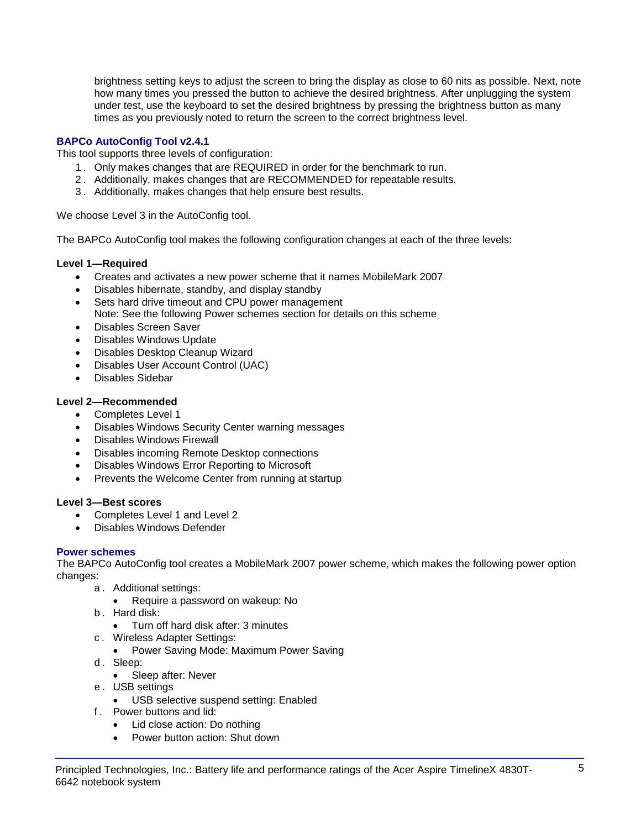brightness setting keys to adjust the screen to bring the display as close to 60 nits as possible. Next, note how many times you pressed the button to achieve the desired brightness. After unplugging the system under test, use the keyboard to set the desired brightness by pressing the brightness button as many times as you previously noted to return the screen to the correct brightness level.

#### **BAPCo AutoConfig Tool v2.4.1**

This tool supports three levels of configuration:

- 1 . Only makes changes that are REQUIRED in order for the benchmark to run.
- 2 . Additionally, makes changes that are RECOMMENDED for repeatable results.
- 3 . Additionally, makes changes that help ensure best results.

We choose Level 3 in the AutoConfig tool.

The BAPCo AutoConfig tool makes the following configuration changes at each of the three levels:

#### **Level 1—Required**

- Creates and activates a new power scheme that it names MobileMark 2007
- Disables hibernate, standby, and display standby
- Sets hard drive timeout and CPU power management Note: See the following Power schemes section for details on this scheme
- Disables Screen Saver
- Disables Windows Update
- Disables Desktop Cleanup Wizard
- Disables User Account Control (UAC)
- Disables Sidebar

#### **Level 2—Recommended**

- Completes Level 1
- Disables Windows Security Center warning messages
- Disables Windows Firewall
- Disables incoming Remote Desktop connections
- Disables Windows Error Reporting to Microsoft
- Prevents the Welcome Center from running at startup

#### **Level 3—Best scores**

- Completes Level 1 and Level 2
- Disables Windows Defender

#### **Power schemes**

The BAPCo AutoConfig tool creates a MobileMark 2007 power scheme, which makes the following power option changes:

- a . Additional settings:
	- Require a password on wakeup: No
- b . Hard disk:
	- Turn off hard disk after: 3 minutes
- c . Wireless Adapter Settings:
	- Power Saving Mode: Maximum Power Saving
- d. Sleep:
	- Sleep after: Never
- e . USB settings
	- USB selective suspend setting: Enabled
- f . Power buttons and lid:
	- Lid close action: Do nothing
	- Power button action: Shut down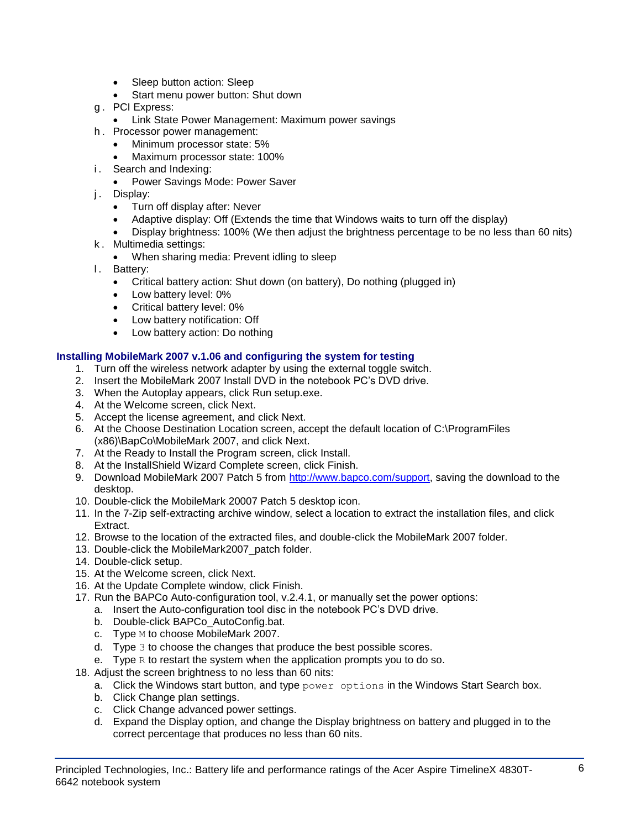- Sleep button action: Sleep
- Start menu power button: Shut down
- g . PCI Express:
	- **Link State Power Management: Maximum power savings**
- h . Processor power management:
	- Minimum processor state: 5%
	- Maximum processor state: 100%
- i. Search and Indexing:
	- Power Savings Mode: Power Saver
- j. Display:
	- Turn off display after: Never
	- Adaptive display: Off (Extends the time that Windows waits to turn off the display)
	- Display brightness: 100% (We then adjust the brightness percentage to be no less than 60 nits)
- k . Multimedia settings:
	- When sharing media: Prevent idling to sleep
- l. Battery:
	- Critical battery action: Shut down (on battery), Do nothing (plugged in)
	- Low battery level: 0%
	- Critical battery level: 0%
	- Low battery notification: Off
	- Low battery action: Do nothing

#### **Installing MobileMark 2007 v.1.06 and configuring the system for testing**

- 1. Turn off the wireless network adapter by using the external toggle switch.
- 2. Insert the MobileMark 2007 Install DVD in the notebook PC's DVD drive.
- 3. When the Autoplay appears, click Run setup.exe.
- 4. At the Welcome screen, click Next.
- 5. Accept the license agreement, and click Next.
- 6. At the Choose Destination Location screen, accept the default location of C:\ProgramFiles (x86)\BapCo\MobileMark 2007, and click Next.
- 7. At the Ready to Install the Program screen, click Install.
- 8. At the InstallShield Wizard Complete screen, click Finish.
- 9. Download MobileMark 2007 Patch 5 from [http://www.bapco.com/support,](http://www.bapco.com/support) saving the download to the desktop.
- 10. Double-click the MobileMark 20007 Patch 5 desktop icon.
- 11. In the 7-Zip self-extracting archive window, select a location to extract the installation files, and click Extract.
- 12. Browse to the location of the extracted files, and double-click the MobileMark 2007 folder.
- 13. Double-click the MobileMark2007\_patch folder.
- 14. Double-click setup.
- 15. At the Welcome screen, click Next.
- 16. At the Update Complete window, click Finish.
- 17. Run the BAPCo Auto-configuration tool, v.2.4.1, or manually set the power options:
	- a. Insert the Auto-configuration tool disc in the notebook PC's DVD drive.
	- b. Double-click BAPCo\_AutoConfig.bat.
	- c. Type M to choose MobileMark 2007.
	- d. Type 3 to choose the changes that produce the best possible scores.
	- e. Type  $R$  to restart the system when the application prompts you to do so.
- 18. Adjust the screen brightness to no less than 60 nits:
	- a. Click the Windows start button, and type  $power$  options in the Windows Start Search box.
	- b. Click Change plan settings.
	- c. Click Change advanced power settings.
	- d. Expand the Display option, and change the Display brightness on battery and plugged in to the correct percentage that produces no less than 60 nits.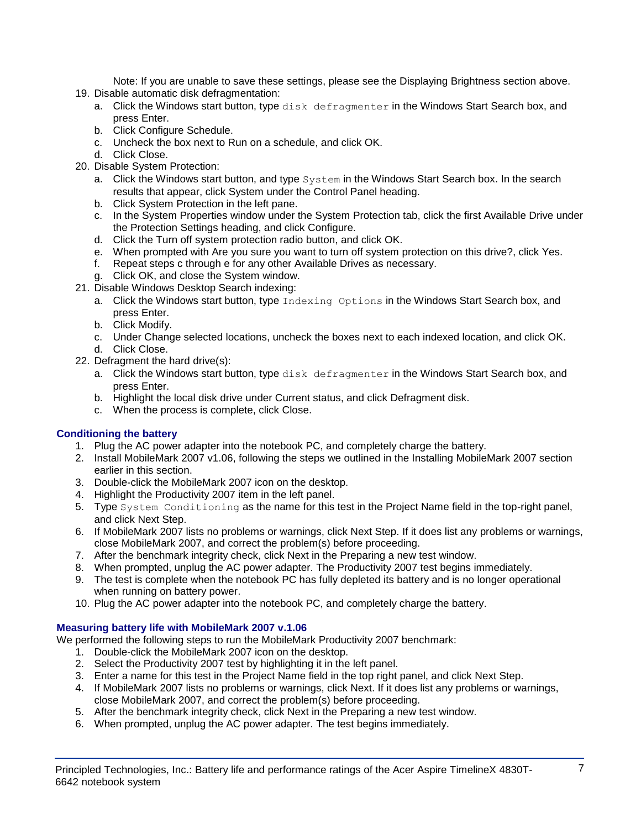Note: If you are unable to save these settings, please see the Displaying Brightness section above.

- 19. Disable automatic disk defragmentation:
	- a. Click the Windows start button, type disk defragmenter in the Windows Start Search box, and press Enter.
	- b. Click Configure Schedule.
	- c. Uncheck the box next to Run on a schedule, and click OK.
	- d. Click Close.
- 20. Disable System Protection:
	- a. Click the Windows start button, and type System in the Windows Start Search box. In the search results that appear, click System under the Control Panel heading.
	- b. Click System Protection in the left pane.
	- c. In the System Properties window under the System Protection tab, click the first Available Drive under the Protection Settings heading, and click Configure.
	- d. Click the Turn off system protection radio button, and click OK.
	- e. When prompted with Are you sure you want to turn off system protection on this drive?, click Yes.
	- f. Repeat steps c through e for any other Available Drives as necessary.
	- g. Click OK, and close the System window.
- 21. Disable Windows Desktop Search indexing:
	- a. Click the Windows start button, type Indexing Options in the Windows Start Search box, and press Enter.
	- b. Click Modify.
	- c. Under Change selected locations, uncheck the boxes next to each indexed location, and click OK. d. Click Close.
- 22. Defragment the hard drive(s):
	- a. Click the Windows start button, type disk defragmenter in the Windows Start Search box, and press Enter.
	- b. Highlight the local disk drive under Current status, and click Defragment disk.
	- c. When the process is complete, click Close.

#### **Conditioning the battery**

- 1. Plug the AC power adapter into the notebook PC, and completely charge the battery.
- 2. Install MobileMark 2007 v1.06, following the steps we outlined in the Installing MobileMark 2007 section earlier in this section.
- 3. Double-click the MobileMark 2007 icon on the desktop.
- 4. Highlight the Productivity 2007 item in the left panel.
- 5. Type System Conditioning as the name for this test in the Project Name field in the top-right panel, and click Next Step.
- 6. If MobileMark 2007 lists no problems or warnings, click Next Step. If it does list any problems or warnings, close MobileMark 2007, and correct the problem(s) before proceeding.
- 7. After the benchmark integrity check, click Next in the Preparing a new test window.
- 8. When prompted, unplug the AC power adapter. The Productivity 2007 test begins immediately.
- 9. The test is complete when the notebook PC has fully depleted its battery and is no longer operational when running on battery power.
- 10. Plug the AC power adapter into the notebook PC, and completely charge the battery.

#### **Measuring battery life with MobileMark 2007 v.1.06**

We performed the following steps to run the MobileMark Productivity 2007 benchmark:

- 1. Double-click the MobileMark 2007 icon on the desktop.
- 2. Select the Productivity 2007 test by highlighting it in the left panel.
- 3. Enter a name for this test in the Project Name field in the top right panel, and click Next Step.
- 4. If MobileMark 2007 lists no problems or warnings, click Next. If it does list any problems or warnings, close MobileMark 2007, and correct the problem(s) before proceeding.
- 5. After the benchmark integrity check, click Next in the Preparing a new test window.
- 6. When prompted, unplug the AC power adapter. The test begins immediately.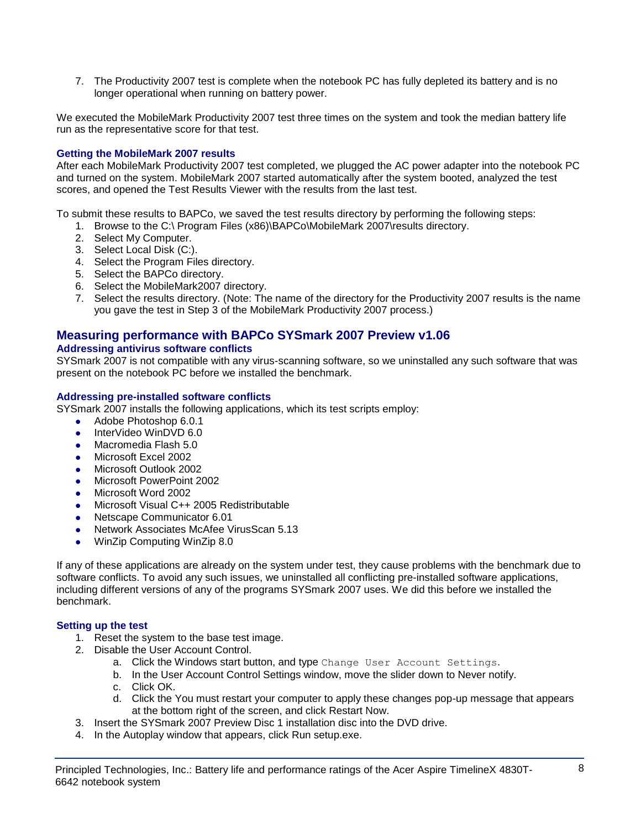7. The Productivity 2007 test is complete when the notebook PC has fully depleted its battery and is no longer operational when running on battery power.

We executed the MobileMark Productivity 2007 test three times on the system and took the median battery life run as the representative score for that test.

#### **Getting the MobileMark 2007 results**

After each MobileMark Productivity 2007 test completed, we plugged the AC power adapter into the notebook PC and turned on the system. MobileMark 2007 started automatically after the system booted, analyzed the test scores, and opened the Test Results Viewer with the results from the last test.

To submit these results to BAPCo, we saved the test results directory by performing the following steps:

- 1. Browse to the C:\ Program Files (x86)\BAPCo\MobileMark 2007\results directory.
- 2. Select My Computer.
- 3. Select Local Disk (C:).
- 4. Select the Program Files directory.
- 5. Select the BAPCo directory.
- 6. Select the MobileMark2007 directory.
- 7. Select the results directory. (Note: The name of the directory for the Productivity 2007 results is the name you gave the test in Step 3 of the MobileMark Productivity 2007 process.)

#### **Measuring performance with BAPCo SYSmark 2007 Preview v1.06**

#### **Addressing antivirus software conflicts**

SYSmark 2007 is not compatible with any virus-scanning software, so we uninstalled any such software that was present on the notebook PC before we installed the benchmark.

#### **Addressing pre-installed software conflicts**

SYSmark 2007 installs the following applications, which its test scripts employ:

- Adobe Photoshop 6.0.1
- InterVideo WinDVD 6.0
- Macromedia Flash 5.0
- Microsoft Excel 2002
- Microsoft Outlook 2002
- Microsoft PowerPoint 2002
- Microsoft Word 2002
- Microsoft Visual C++ 2005 Redistributable
- Netscape Communicator 6.01
- Network Associates McAfee VirusScan 5.13
- WinZip Computing WinZip 8.0

If any of these applications are already on the system under test, they cause problems with the benchmark due to software conflicts. To avoid any such issues, we uninstalled all conflicting pre-installed software applications, including different versions of any of the programs SYSmark 2007 uses. We did this before we installed the benchmark.

#### **Setting up the test**

- 1. Reset the system to the base test image.
- 2. Disable the User Account Control.
	- a. Click the Windows start button, and type Change User Account Settings.
	- b. In the User Account Control Settings window, move the slider down to Never notify.
	- c. Click OK.
	- d. Click the You must restart your computer to apply these changes pop-up message that appears at the bottom right of the screen, and click Restart Now.
- 3. Insert the SYSmark 2007 Preview Disc 1 installation disc into the DVD drive.
- 4. In the Autoplay window that appears, click Run setup.exe.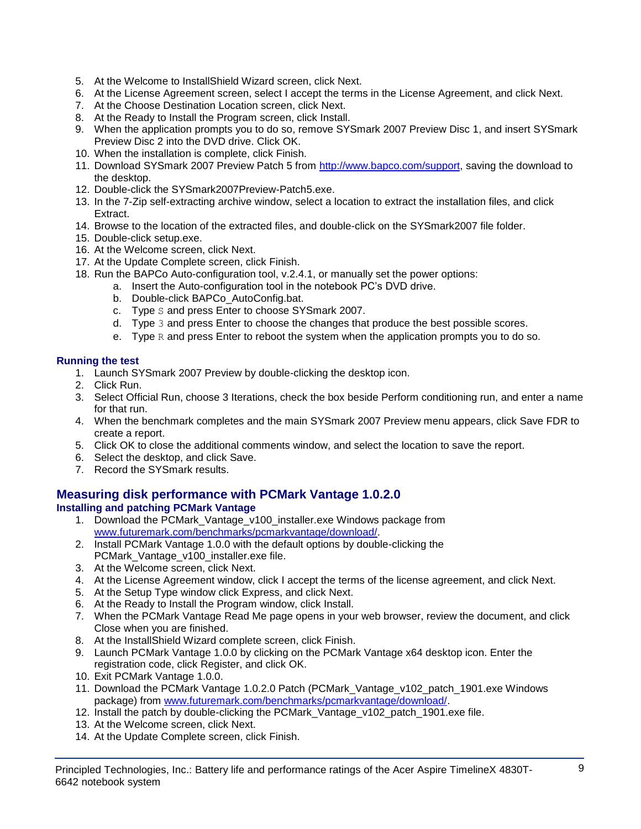- 5. At the Welcome to InstallShield Wizard screen, click Next.
- 6. At the License Agreement screen, select I accept the terms in the License Agreement, and click Next.
- 7. At the Choose Destination Location screen, click Next.
- 8. At the Ready to Install the Program screen, click Install.
- 9. When the application prompts you to do so, remove SYSmark 2007 Preview Disc 1, and insert SYSmark Preview Disc 2 into the DVD drive. Click OK.
- 10. When the installation is complete, click Finish.
- 11. Download SYSmark 2007 Preview Patch 5 from [http://www.bapco.com/support,](http://www.bapco.com/support) saving the download to the desktop.
- 12. Double-click the SYSmark2007Preview-Patch5.exe.
- 13. In the 7-Zip self-extracting archive window, select a location to extract the installation files, and click Extract.
- 14. Browse to the location of the extracted files, and double-click on the SYSmark2007 file folder.
- 15. Double-click setup.exe.
- 16. At the Welcome screen, click Next.
- 17. At the Update Complete screen, click Finish.
- 18. Run the BAPCo Auto-configuration tool, v.2.4.1, or manually set the power options:
	- a. Insert the Auto-configuration tool in the notebook PC's DVD drive.
		- b. Double-click BAPCo\_AutoConfig.bat.
		- c. Type S and press Enter to choose SYSmark 2007.
		- d. Type 3 and press Enter to choose the changes that produce the best possible scores.
		- e. Type  $R$  and press Enter to reboot the system when the application prompts you to do so.

#### **Running the test**

- 1. Launch SYSmark 2007 Preview by double-clicking the desktop icon.
- 2. Click Run.
- 3. Select Official Run, choose 3 Iterations, check the box beside Perform conditioning run, and enter a name for that run.
- 4. When the benchmark completes and the main SYSmark 2007 Preview menu appears, click Save FDR to create a report.
- 5. Click OK to close the additional comments window, and select the location to save the report.
- 6. Select the desktop, and click Save.
- 7. Record the SYSmark results.

## **Measuring disk performance with PCMark Vantage 1.0.2.0**

#### **Installing and patching PCMark Vantage**

- 1. Download the PCMark\_Vantage\_v100\_installer.exe Windows package from [www.futuremark.com/benchmarks/pcmarkvantage/download/.](http://www.futuremark.com/benchmarks/pcmarkvantage/download/)
- 2. Install PCMark Vantage 1.0.0 with the default options by double-clicking the PCMark\_Vantage\_v100\_installer.exe file.
- 3. At the Welcome screen, click Next.
- 4. At the License Agreement window, click I accept the terms of the license agreement, and click Next.
- 5. At the Setup Type window click Express, and click Next.
- 6. At the Ready to Install the Program window, click Install.
- 7. When the PCMark Vantage Read Me page opens in your web browser, review the document, and click Close when you are finished.
- 8. At the InstallShield Wizard complete screen, click Finish.
- 9. Launch PCMark Vantage 1.0.0 by clicking on the PCMark Vantage x64 desktop icon. Enter the registration code, click Register, and click OK.
- 10. Exit PCMark Vantage 1.0.0.
- 11. Download the PCMark Vantage 1.0.2.0 Patch (PCMark\_Vantage\_v102\_patch\_1901.exe Windows package) from [www.futuremark.com/benchmarks/pcmarkvantage/download/.](http://www.futuremark.com/benchmarks/pcmarkvantage/download/)
- 12. Install the patch by double-clicking the PCMark\_Vantage\_v102\_patch\_1901.exe file.
- 13. At the Welcome screen, click Next.
- 14. At the Update Complete screen, click Finish.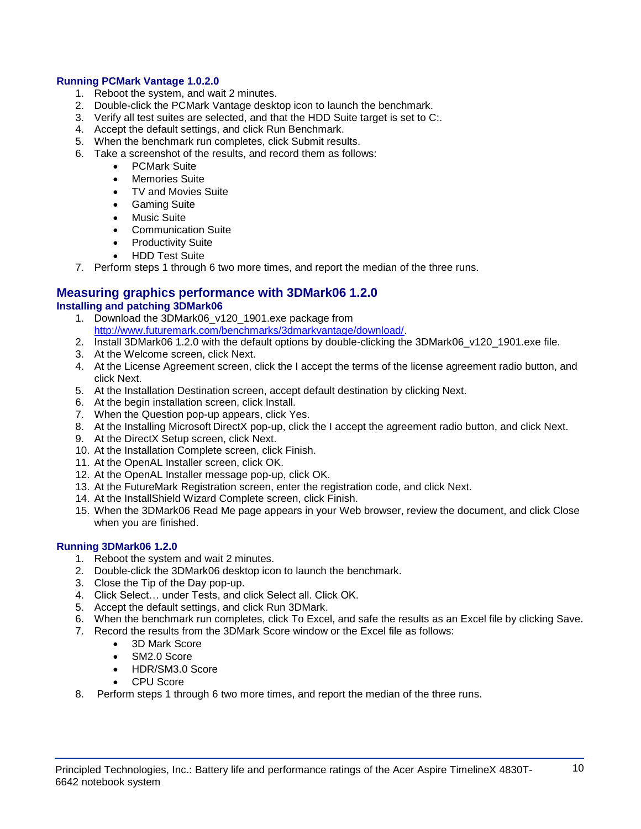#### **Running PCMark Vantage 1.0.2.0**

- 1. Reboot the system, and wait 2 minutes.
- 2. Double-click the PCMark Vantage desktop icon to launch the benchmark.
- 3. Verify all test suites are selected, and that the HDD Suite target is set to C:.
- 4. Accept the default settings, and click Run Benchmark.
- 5. When the benchmark run completes, click Submit results.
- 6. Take a screenshot of the results, and record them as follows:
	- PCMark Suite
	- Memories Suite
	- TV and Movies Suite
	- **•** Gaming Suite
	- Music Suite
	- Communication Suite
	- Productivity Suite
	- HDD Test Suite
- 7. Perform steps 1 through 6 two more times, and report the median of the three runs.

#### **Measuring graphics performance with 3DMark06 1.2.0 Installing and patching 3DMark06**

- 1. Download the 3DMark06 v120 1901.exe package from [http://www.futuremark.com/benchmarks/3dmarkvantage/download/.](http://www.futuremark.com/benchmarks/3dmarkvantage/download/)
- 2. Install 3DMark06 1.2.0 with the default options by double-clicking the 3DMark06\_v120\_1901.exe file.
- 3. At the Welcome screen, click Next.
- 4. At the License Agreement screen, click the I accept the terms of the license agreement radio button, and click Next.
- 5. At the Installation Destination screen, accept default destination by clicking Next.
- 6. At the begin installation screen, click Install.
- 7. When the Question pop-up appears, click Yes.
- 8. At the Installing Microsoft DirectX pop-up, click the I accept the agreement radio button, and click Next.
- 9. At the DirectX Setup screen, click Next.
- 10. At the Installation Complete screen, click Finish.
- 11. At the OpenAL Installer screen, click OK.
- 12. At the OpenAL Installer message pop-up, click OK.
- 13. At the FutureMark Registration screen, enter the registration code, and click Next.
- 14. At the InstallShield Wizard Complete screen, click Finish.
- 15. When the 3DMark06 Read Me page appears in your Web browser, review the document, and click Close when you are finished.

#### **Running 3DMark06 1.2.0**

- 1. Reboot the system and wait 2 minutes.
- 2. Double-click the 3DMark06 desktop icon to launch the benchmark.
- 3. Close the Tip of the Day pop-up.
- 4. Click Select… under Tests, and click Select all. Click OK.
- 5. Accept the default settings, and click Run 3DMark.
- 6. When the benchmark run completes, click To Excel, and safe the results as an Excel file by clicking Save.
- 7. Record the results from the 3DMark Score window or the Excel file as follows:
	- 3D Mark Score
	- SM2.0 Score
	- HDR/SM3.0 Score
	- CPU Score
- 8. Perform steps 1 through 6 two more times, and report the median of the three runs.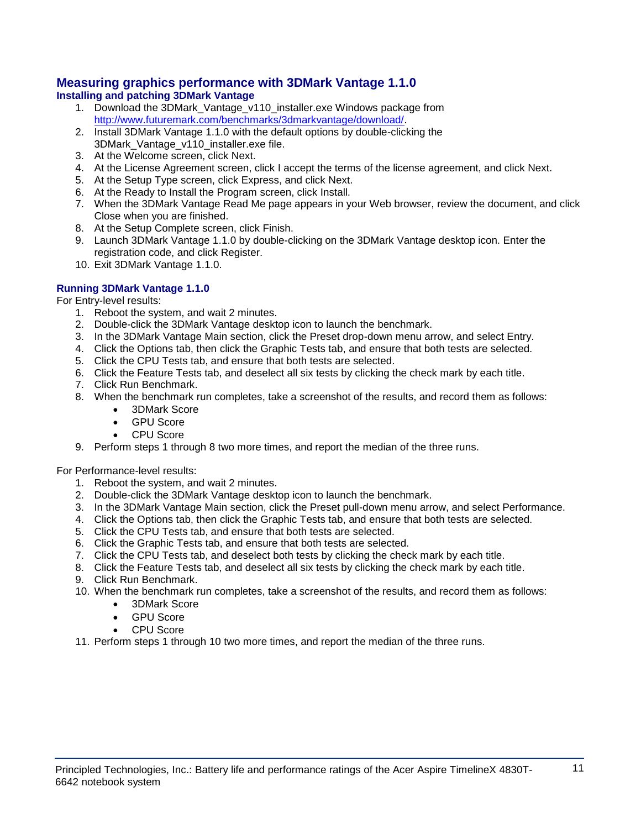#### **Measuring graphics performance with 3DMark Vantage 1.1.0 Installing and patching 3DMark Vantage**

- 1. Download the 3DMark\_Vantage\_v110\_installer.exe Windows package from [http://www.futuremark.com/benchmarks/3dmarkvantage/download/.](http://www.futuremark.com/benchmarks/3dmarkvantage/download/)
- 2. Install 3DMark Vantage 1.1.0 with the default options by double-clicking the 3DMark\_Vantage\_v110\_installer.exe file.
- 3. At the Welcome screen, click Next.
- 4. At the License Agreement screen, click I accept the terms of the license agreement, and click Next.
- 5. At the Setup Type screen, click Express, and click Next.
- 6. At the Ready to Install the Program screen, click Install.
- 7. When the 3DMark Vantage Read Me page appears in your Web browser, review the document, and click Close when you are finished.
- 8. At the Setup Complete screen, click Finish.
- 9. Launch 3DMark Vantage 1.1.0 by double-clicking on the 3DMark Vantage desktop icon. Enter the registration code, and click Register.
- 10. Exit 3DMark Vantage 1.1.0.

#### **Running 3DMark Vantage 1.1.0**

For Entry-level results:

- 1. Reboot the system, and wait 2 minutes.
- 2. Double-click the 3DMark Vantage desktop icon to launch the benchmark.
- 3. In the 3DMark Vantage Main section, click the Preset drop-down menu arrow, and select Entry.
- 4. Click the Options tab, then click the Graphic Tests tab, and ensure that both tests are selected.
- 5. Click the CPU Tests tab, and ensure that both tests are selected.
- 6. Click the Feature Tests tab, and deselect all six tests by clicking the check mark by each title.
- 7. Click Run Benchmark.
- 8. When the benchmark run completes, take a screenshot of the results, and record them as follows:
	- 3DMark Score
		- GPU Score
		- CPU Score
- 9. Perform steps 1 through 8 two more times, and report the median of the three runs.

For Performance-level results:

- 1. Reboot the system, and wait 2 minutes.
- 2. Double-click the 3DMark Vantage desktop icon to launch the benchmark.
- 3. In the 3DMark Vantage Main section, click the Preset pull-down menu arrow, and select Performance.
- 4. Click the Options tab, then click the Graphic Tests tab, and ensure that both tests are selected.
- 5. Click the CPU Tests tab, and ensure that both tests are selected.
- 6. Click the Graphic Tests tab, and ensure that both tests are selected.
- 7. Click the CPU Tests tab, and deselect both tests by clicking the check mark by each title.
- 8. Click the Feature Tests tab, and deselect all six tests by clicking the check mark by each title.
- 9. Click Run Benchmark.
- 10. When the benchmark run completes, take a screenshot of the results, and record them as follows:
	- 3DMark Score
	- GPU Score
	- CPU Score
- 11. Perform steps 1 through 10 two more times, and report the median of the three runs.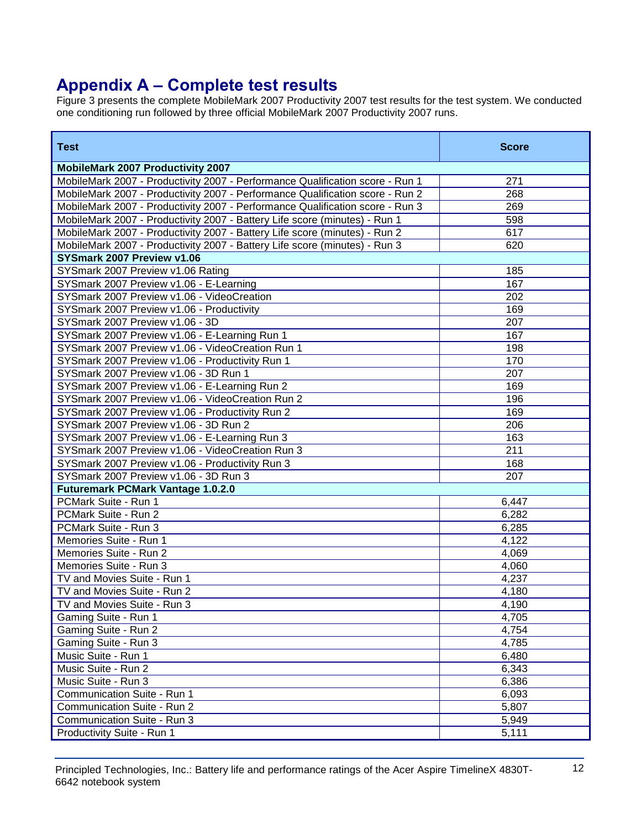## **Appendix A – Complete test results**

Figure 3 presents the complete MobileMark 2007 Productivity 2007 test results for the test system. We conducted one conditioning run followed by three official MobileMark 2007 Productivity 2007 runs.

| <b>Test</b>                                                                   | <b>Score</b> |
|-------------------------------------------------------------------------------|--------------|
| <b>MobileMark 2007 Productivity 2007</b>                                      |              |
| MobileMark 2007 - Productivity 2007 - Performance Qualification score - Run 1 | 271          |
| MobileMark 2007 - Productivity 2007 - Performance Qualification score - Run 2 | 268          |
| MobileMark 2007 - Productivity 2007 - Performance Qualification score - Run 3 | 269          |
| MobileMark 2007 - Productivity 2007 - Battery Life score (minutes) - Run 1    | 598          |
| MobileMark 2007 - Productivity 2007 - Battery Life score (minutes) - Run 2    | 617          |
| MobileMark 2007 - Productivity 2007 - Battery Life score (minutes) - Run 3    | 620          |
| SYSmark 2007 Preview v1.06                                                    |              |
| SYSmark 2007 Preview v1.06 Rating                                             | 185          |
| SYSmark 2007 Preview v1.06 - E-Learning                                       | 167          |
| SYSmark 2007 Preview v1.06 - VideoCreation                                    | 202          |
| SYSmark 2007 Preview v1.06 - Productivity                                     | 169          |
| SYSmark 2007 Preview v1.06 - 3D                                               | 207          |
| SYSmark 2007 Preview v1.06 - E-Learning Run 1                                 | 167          |
| SYSmark 2007 Preview v1.06 - VideoCreation Run 1                              | 198          |
| SYSmark 2007 Preview v1.06 - Productivity Run 1                               | 170          |
| SYSmark 2007 Preview v1.06 - 3D Run 1                                         | 207          |
| SYSmark 2007 Preview v1.06 - E-Learning Run 2                                 | 169          |
| SYSmark 2007 Preview v1.06 - VideoCreation Run 2                              | 196          |
| SYSmark 2007 Preview v1.06 - Productivity Run 2                               | 169          |
| SYSmark 2007 Preview v1.06 - 3D Run 2                                         | 206          |
| SYSmark 2007 Preview v1.06 - E-Learning Run 3                                 | 163          |
| SYSmark 2007 Preview v1.06 - VideoCreation Run 3                              | 211          |
| SYSmark 2007 Preview v1.06 - Productivity Run 3                               | 168          |
| SYSmark 2007 Preview v1.06 - 3D Run 3                                         | 207          |
| <b>Futuremark PCMark Vantage 1.0.2.0</b>                                      |              |
| PCMark Suite - Run 1                                                          | 6,447        |
| PCMark Suite - Run 2                                                          | 6,282        |
| PCMark Suite - Run 3                                                          | 6,285        |
| Memories Suite - Run 1                                                        | 4,122        |
| Memories Suite - Run 2                                                        | 4,069        |
| Memories Suite - Run 3                                                        | 4,060        |
| TV and Movies Suite - Run 1                                                   | 4,237        |
| TV and Movies Suite - Run 2                                                   | 4,180        |
| TV and Movies Suite - Run 3                                                   | 4,190        |
| Gaming Suite - Run 1                                                          | 4,705        |
| Gaming Suite - Run 2                                                          | 4,754        |
| Gaming Suite - Run 3                                                          | 4,785        |
| Music Suite - Run 1                                                           | 6,480        |
| Music Suite - Run 2                                                           | 6,343        |
| Music Suite - Run 3                                                           | 6,386        |
| Communication Suite - Run 1                                                   | 6,093        |
| Communication Suite - Run 2                                                   | 5,807        |
| Communication Suite - Run 3                                                   | 5,949        |
| Productivity Suite - Run 1                                                    | 5,111        |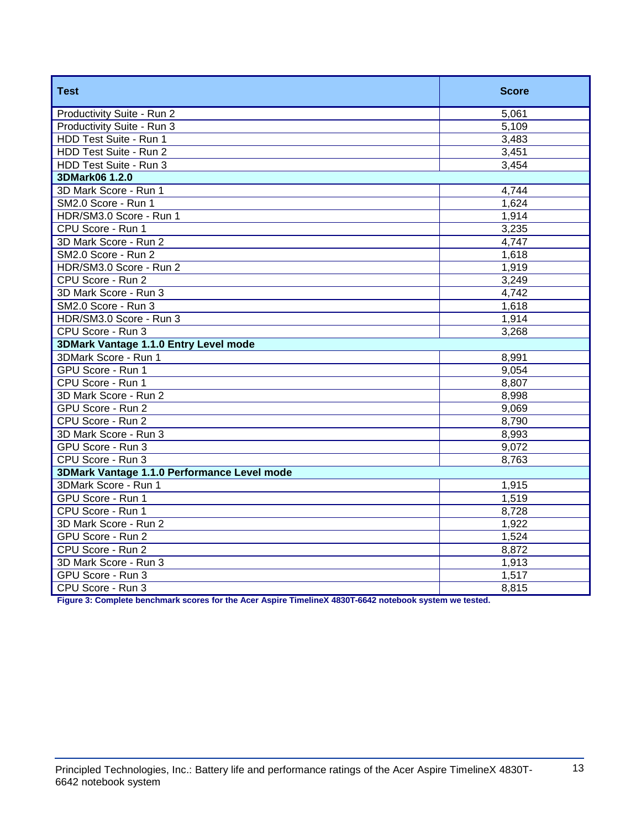| <b>Test</b>                                 | <b>Score</b> |
|---------------------------------------------|--------------|
| Productivity Suite - Run 2                  | 5,061        |
| Productivity Suite - Run 3                  | 5,109        |
| HDD Test Suite - Run 1                      | 3,483        |
| HDD Test Suite - Run 2                      | 3,451        |
| HDD Test Suite - Run 3                      | 3,454        |
| 3DMark06 1.2.0                              |              |
| 3D Mark Score - Run 1                       | 4,744        |
| SM2.0 Score - Run 1                         | 1,624        |
| HDR/SM3.0 Score - Run 1                     | 1,914        |
| CPU Score - Run 1                           | 3,235        |
| 3D Mark Score - Run 2                       | 4,747        |
| SM2.0 Score - Run 2                         | 1,618        |
| HDR/SM3.0 Score - Run 2                     | 1,919        |
| CPU Score - Run 2                           | 3,249        |
| 3D Mark Score - Run 3                       | 4,742        |
| SM2.0 Score - Run 3                         | 1,618        |
| HDR/SM3.0 Score - Run 3                     | 1,914        |
| CPU Score - Run 3                           | 3,268        |
| 3DMark Vantage 1.1.0 Entry Level mode       |              |
| 3DMark Score - Run 1                        | 8,991        |
| GPU Score - Run 1                           | 9,054        |
| CPU Score - Run 1                           | 8,807        |
| 3D Mark Score - Run 2                       | 8,998        |
| GPU Score - Run 2                           | 9,069        |
| CPU Score - Run 2                           | 8,790        |
| 3D Mark Score - Run 3                       | 8,993        |
| GPU Score - Run 3                           | 9,072        |
| CPU Score - Run 3                           | 8,763        |
| 3DMark Vantage 1.1.0 Performance Level mode |              |
| 3DMark Score - Run 1                        | 1,915        |
| GPU Score - Run 1                           | 1,519        |
| CPU Score - Run 1                           | 8,728        |
| 3D Mark Score - Run 2                       | 1,922        |
| GPU Score - Run 2                           | 1,524        |
| CPU Score - Run 2                           | 8,872        |
| 3D Mark Score - Run 3                       | 1,913        |
| GPU Score - Run 3                           | 1,517        |
| CPU Score - Run 3                           | 8,815        |

**Figure 3: Complete benchmark scores for the Acer Aspire TimelineX 4830T-6642 notebook system we tested.**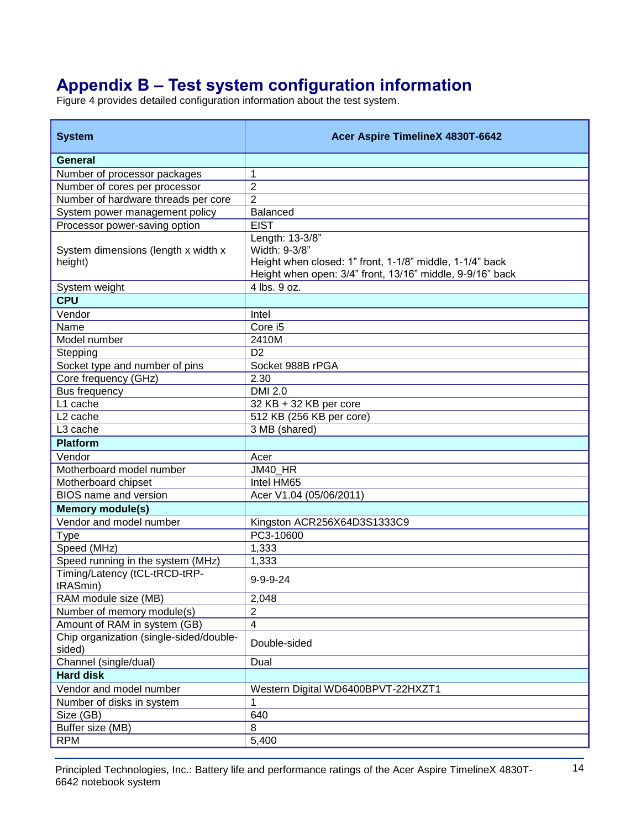# **Appendix B – Test system configuration information**

Figure 4 provides detailed configuration information about the test system.

| <b>System</b>                                     | Acer Aspire TimelineX 4830T-6642                                                                                                                          |
|---------------------------------------------------|-----------------------------------------------------------------------------------------------------------------------------------------------------------|
| General                                           |                                                                                                                                                           |
| Number of processor packages                      | 1                                                                                                                                                         |
| Number of cores per processor                     | $\overline{2}$                                                                                                                                            |
| Number of hardware threads per core               | $\overline{2}$                                                                                                                                            |
| System power management policy                    | <b>Balanced</b>                                                                                                                                           |
| Processor power-saving option                     | <b>EIST</b>                                                                                                                                               |
| System dimensions (length x width x<br>height)    | Length: 13-3/8"<br>Width: 9-3/8"<br>Height when closed: 1" front, 1-1/8" middle, 1-1/4" back<br>Height when open: 3/4" front, 13/16" middle, 9-9/16" back |
| System weight                                     | 4 lbs. 9 oz.                                                                                                                                              |
| <b>CPU</b>                                        |                                                                                                                                                           |
| Vendor                                            | Intel                                                                                                                                                     |
| Name                                              | Core i5                                                                                                                                                   |
| Model number                                      | 2410M                                                                                                                                                     |
| Stepping                                          | D <sub>2</sub>                                                                                                                                            |
| Socket type and number of pins                    | Socket 988B rPGA                                                                                                                                          |
| Core frequency (GHz)                              | 2.30                                                                                                                                                      |
| Bus frequency                                     | <b>DMI 2.0</b>                                                                                                                                            |
| L1 cache                                          | 32 KB + 32 KB per core                                                                                                                                    |
| L <sub>2</sub> cache                              | 512 KB (256 KB per core)                                                                                                                                  |
| L <sub>3</sub> cache                              | 3 MB (shared)                                                                                                                                             |
| <b>Platform</b>                                   |                                                                                                                                                           |
| Vendor                                            | Acer                                                                                                                                                      |
| Motherboard model number                          | JM40_HR                                                                                                                                                   |
| Motherboard chipset                               | Intel HM65                                                                                                                                                |
| <b>BIOS</b> name and version                      | Acer V1.04 (05/06/2011)                                                                                                                                   |
| <b>Memory module(s)</b>                           |                                                                                                                                                           |
| Vendor and model number                           | Kingston ACR256X64D3S1333C9                                                                                                                               |
| <b>Type</b>                                       | PC3-10600                                                                                                                                                 |
| Speed (MHz)                                       | 1,333                                                                                                                                                     |
| Speed running in the system (MHz)                 | 1,333                                                                                                                                                     |
| Timing/Latency (tCL-tRCD-tRP-<br>tRASmin)         | $9 - 9 - 9 - 24$                                                                                                                                          |
| RAM module size (MB)                              | 2,048                                                                                                                                                     |
| Number of memory module(s)                        | 2                                                                                                                                                         |
| Amount of RAM in system (GB)                      | $\overline{4}$                                                                                                                                            |
| Chip organization (single-sided/double-<br>sided) | Double-sided                                                                                                                                              |
| Channel (single/dual)                             | Dual                                                                                                                                                      |
| <b>Hard disk</b>                                  |                                                                                                                                                           |
| Vendor and model number                           | Western Digital WD6400BPVT-22HXZT1                                                                                                                        |
| Number of disks in system                         | 1                                                                                                                                                         |
| Size (GB)                                         | 640                                                                                                                                                       |
| Buffer size (MB)                                  | 8                                                                                                                                                         |
| <b>RPM</b>                                        | 5,400                                                                                                                                                     |

Principled Technologies, Inc.: Battery life and performance ratings of the Acer Aspire TimelineX 4830T- 14 6642 notebook system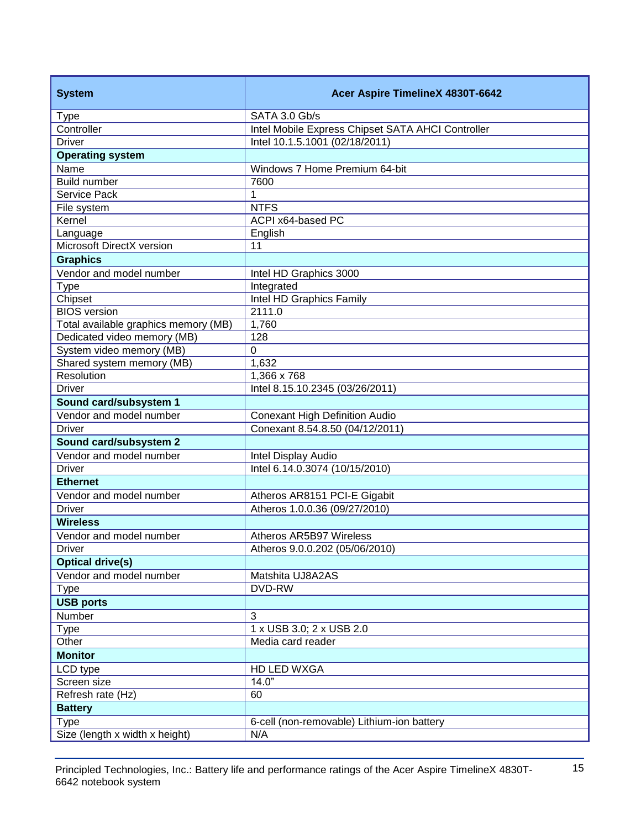| <b>System</b>                        | Acer Aspire TimelineX 4830T-6642                  |
|--------------------------------------|---------------------------------------------------|
| <b>Type</b>                          | SATA 3.0 Gb/s                                     |
| Controller                           | Intel Mobile Express Chipset SATA AHCI Controller |
| <b>Driver</b>                        | Intel 10.1.5.1001 (02/18/2011)                    |
| <b>Operating system</b>              |                                                   |
| Name                                 | Windows 7 Home Premium 64-bit                     |
| Build number                         | 7600                                              |
| Service Pack                         | 1                                                 |
| File system                          | <b>NTFS</b>                                       |
| Kernel                               | ACPI x64-based PC                                 |
| Language                             | English                                           |
| Microsoft DirectX version            | 11                                                |
| <b>Graphics</b>                      |                                                   |
| Vendor and model number              | Intel HD Graphics 3000                            |
| <b>Type</b>                          | Integrated                                        |
| Chipset                              | Intel HD Graphics Family                          |
| <b>BIOS</b> version                  | 2111.0                                            |
| Total available graphics memory (MB) | 1,760                                             |
| Dedicated video memory (MB)          | 128                                               |
| System video memory (MB)             | $\Omega$                                          |
| Shared system memory (MB)            | 1,632                                             |
| Resolution                           | 1,366 x 768                                       |
| <b>Driver</b>                        | Intel 8.15.10.2345 (03/26/2011)                   |
| Sound card/subsystem 1               |                                                   |
| Vendor and model number              | <b>Conexant High Definition Audio</b>             |
| <b>Driver</b>                        | Conexant 8.54.8.50 (04/12/2011)                   |
| Sound card/subsystem 2               |                                                   |
| Vendor and model number              | Intel Display Audio                               |
| <b>Driver</b>                        | Intel 6.14.0.3074 (10/15/2010)                    |
| <b>Ethernet</b>                      |                                                   |
| Vendor and model number              | Atheros AR8151 PCI-E Gigabit                      |
| <b>Driver</b>                        | Atheros 1.0.0.36 (09/27/2010)                     |
| <b>Wireless</b>                      |                                                   |
| Vendor and model number              | Atheros AR5B97 Wireless                           |
| <b>Driver</b>                        | Atheros 9.0.0.202 (05/06/2010)                    |
| <b>Optical drive(s)</b>              |                                                   |
| Vendor and model number              | Matshita UJ8A2AS                                  |
| <b>Type</b>                          | DVD-RW                                            |
| <b>USB ports</b>                     |                                                   |
| Number                               | 3                                                 |
| <b>Type</b>                          | 1 x USB 3.0; 2 x USB 2.0                          |
| Other                                | Media card reader                                 |
| <b>Monitor</b>                       |                                                   |
| LCD type                             | HD LED WXGA                                       |
| Screen size                          | 14.0"                                             |
| Refresh rate (Hz)                    | 60                                                |
| <b>Battery</b>                       |                                                   |
| <b>Type</b>                          | 6-cell (non-removable) Lithium-ion battery        |
| Size (length x width x height)       | N/A                                               |
|                                      |                                                   |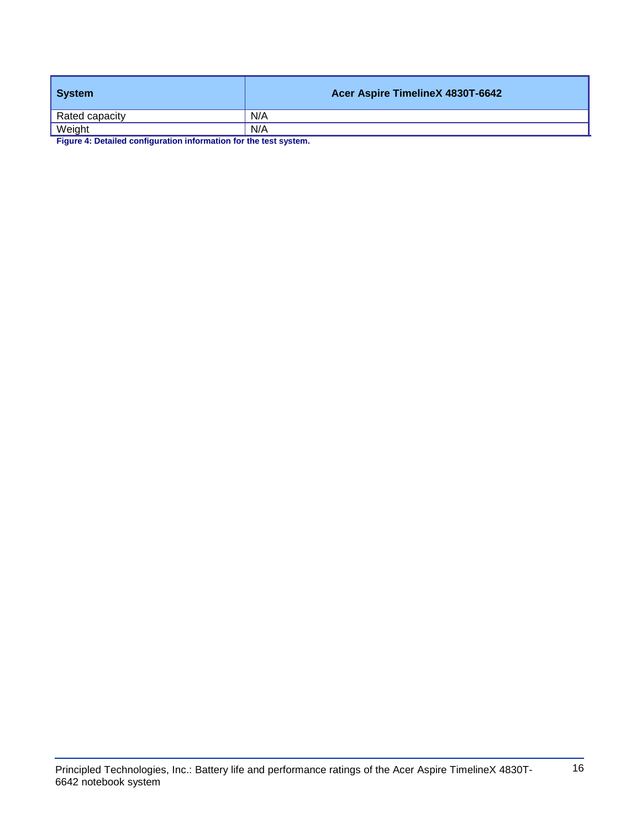| System         | Acer Aspire TimelineX 4830T-6642 |
|----------------|----------------------------------|
| Rated capacity | N/A                              |
| Weight         | N/A                              |

**Figure 4: Detailed configuration information for the test system.**